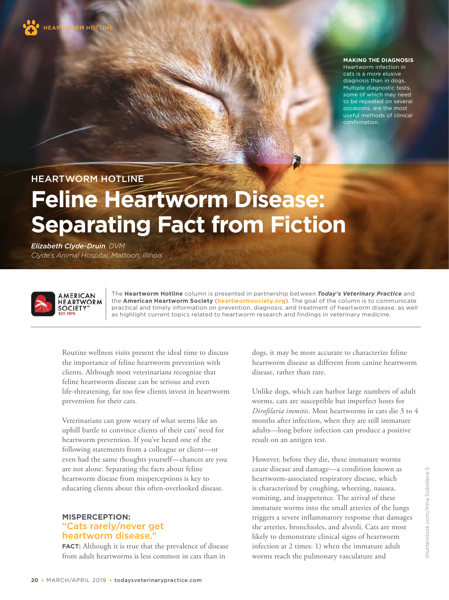

#### **MAKING THE DIAGNOSIS**

Heartworm infection in cats is a more elusive diagnosis than in dogs. Multiple diagnostic tests, some of which may need to be repeated on several occasions, are the most useful methods of clinical confirmation.

HEARTWORM HOTLINE

# **Feline Heartworm Disease: Separating Fact from Fiction**

*Elizabeth Clyde-Druin, DVM Clyde's Animal Hospital, Mattoon, Illinois*



The **Heartworm Hotline** column is presented in partnership between *Today's Veterinary Practice* and the **American Heartworm Society** (**[heartwormsociety.org](http://heartwormsociety.org)**). The goal of the column is to communicate practical and timely information on prevention, diagnosis, and treatment of heartworm disease, as well as highlight current topics related to heartworm research and findings in veterinary medicine.

Routine wellness visits present the ideal time to discuss the importance of feline heartworm prevention with clients. Although most veterinarians recognize that feline heartworm disease can be serious and even life-threatening, far too few clients invest in heartworm prevention for their cats.

Veterinarians can grow weary of what seems like an uphill battle to convince clients of their cats' need for heartworm prevention. If you've heard one of the following statements from a colleague or client—or even had the same thoughts yourself—chances are you are not alone. Separating the facts about feline heartworm disease from misperceptions is key to educating clients about this often-overlooked disease.

### **MISPERCEPTION:** "Cats rarely/never get heartworm disease."

**FACT:** Although it is true that the prevalence of disease from adult heartworms is less common in cats than in

dogs, it may be more accurate to characterize feline heartworm disease as different from canine heartworm disease, rather than rare.

Unlike dogs, which can harbor large numbers of adult worms, cats are susceptible but imperfect hosts for *Dirofilaria immitis*. Most heartworms in cats die 3 to 4 months after infection, when they are still immature adults—long before infection can produce a positive result on an antigen test.

However, before they die, these immature worms cause disease and damage—a condition known as heartworm-associated respiratory disease, which is characterized by coughing, wheezing, nausea, vomiting, and inappetence. The arrival of these immature worms into the small arteries of the lungs triggers a severe inflammatory response that damages the arteries, bronchioles, and alveoli. Cats are most likely to demonstrate clinical signs of heartworm infection at 2 times: 1) when the immature adult worms reach the pulmonary vasculature and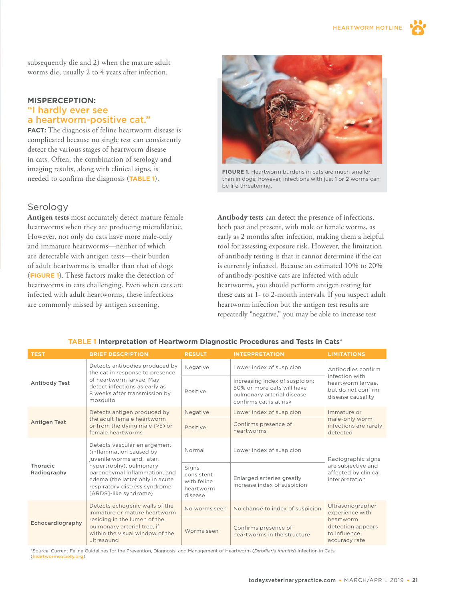subsequently die and 2) when the mature adult worms die, usually 2 to 4 years after infection.

#### **MISPERCEPTION:** "I hardly ever see a heartworm-positive cat."

**FACT:** The diagnosis of feline heartworm disease is complicated because no single test can consistently detect the various stages of heartworm disease in cats. Often, the combination of serology and imaging results, along with clinical signs, is needed to confirm the diagnosis (**TABLE 1**).

### Serology

**Antigen tests** most accurately detect mature female heartworms when they are producing microfilariae. However, not only do cats have more male-only and immature heartworms—neither of which are detectable with antigen tests—their burden of adult heartworms is smaller than that of dogs (**FIGURE 1**). These factors make the detection of heartworms in cats challenging. Even when cats are infected with adult heartworms, these infections are commonly missed by antigen screening.



**FIGURE 1.** Heartworm burdens in cats are much smaller than in dogs; however, infections with just 1 or 2 worms can be life threatening.

**Antibody tests** can detect the presence of infections, both past and present, with male or female worms, as early as 2 months after infection, making them a helpful tool for assessing exposure risk. However, the limitation of antibody testing is that it cannot determine if the cat is currently infected. Because an estimated 10% to 20% of antibody-positive cats are infected with adult heartworms, you should perform antigen testing for these cats at 1- to 2-month intervals. If you suspect adult heartworm infection but the antigen test results are repeatedly "negative," you may be able to increase test

| <b>TEST</b>             | <b>BRIEF DESCRIPTION</b>                                                                                                                                                                                                                       | <b>RESULT</b>                                              | <b>INTERPRETATION</b>                                                                                                  | <b>LIMITATIONS</b>                                                                                     |
|-------------------------|------------------------------------------------------------------------------------------------------------------------------------------------------------------------------------------------------------------------------------------------|------------------------------------------------------------|------------------------------------------------------------------------------------------------------------------------|--------------------------------------------------------------------------------------------------------|
| <b>Antibody Test</b>    | Detects antibodies produced by<br>the cat in response to presence<br>of heartworm larvae. May<br>detect infections as early as<br>8 weeks after transmission by<br>mosquito                                                                    | Negative                                                   | Lower index of suspicion                                                                                               | Antibodies confirm<br>infection with<br>heartworm larvae.<br>but do not confirm<br>disease causality   |
|                         |                                                                                                                                                                                                                                                | Positive                                                   | Increasing index of suspicion;<br>50% or more cats will have<br>pulmonary arterial disease;<br>confirms cat is at risk |                                                                                                        |
| <b>Antigen Test</b>     | Detects antigen produced by<br>the adult female heartworm<br>or from the dying male (>5) or<br>female heartworms                                                                                                                               | Negative                                                   | Lower index of suspicion                                                                                               | Immature or<br>male-only worm<br>infections are rarely<br>detected                                     |
|                         |                                                                                                                                                                                                                                                | Positive                                                   | Confirms presence of<br>heartworms                                                                                     |                                                                                                        |
| Thoracic<br>Radiography | Detects vascular enlargement<br>(inflammation caused by<br>juvenile worms and, later,<br>hypertrophy), pulmonary<br>parenchymal inflammation, and<br>edema (the latter only in acute<br>respiratory distress syndrome<br>[ARDS]-like syndrome) | Normal                                                     | Lower index of suspicion                                                                                               | Radiographic signs<br>are subjective and<br>affected by clinical<br>interpretation                     |
|                         |                                                                                                                                                                                                                                                | Signs<br>consistent<br>with feline<br>heartworm<br>disease | Enlarged arteries greatly<br>increase index of suspicion                                                               |                                                                                                        |
| Echocardiography        | Detects echogenic walls of the<br>immature or mature heartworm<br>residing in the lumen of the<br>pulmonary arterial tree, if<br>within the visual window of the<br>ultrasound                                                                 | No worms seen                                              | No change to index of suspicion                                                                                        | Ultrasonographer<br>experience with<br>heartworm<br>detection appears<br>to influence<br>accuracy rate |
|                         |                                                                                                                                                                                                                                                | Worms seen                                                 | Confirms presence of<br>heartworms in the structure                                                                    |                                                                                                        |

#### **TABLE 1 Interpretation of Heartworm Diagnostic Procedures and Tests in Cats**\*

\*Source: Current Feline Guidelines for the Prevention, Diagnosis, and Management of Heartworm (*Dirofilaria immitis*) Infection in Cats ([heartwormsociety.org](http://heartwormsociety.org)).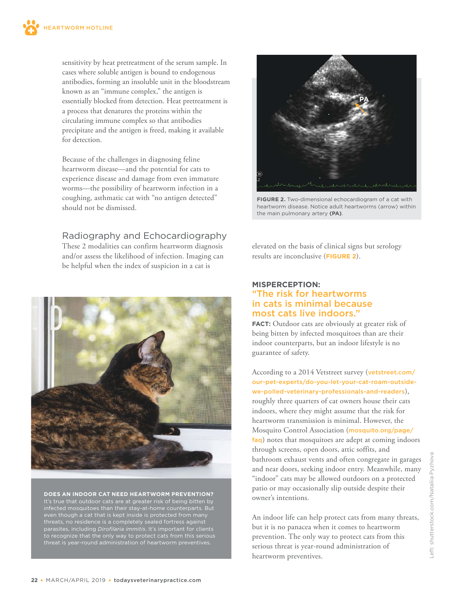sensitivity by heat pretreatment of the serum sample. In cases where soluble antigen is bound to endogenous antibodies, forming an insoluble unit in the bloodstream known as an "immune complex," the antigen is essentially blocked from detection. Heat pretreatment is a process that denatures the proteins within the circulating immune complex so that antibodies precipitate and the antigen is freed, making it available for detection.

Because of the challenges in diagnosing feline heartworm disease—and the potential for cats to experience disease and damage from even immature worms—the possibility of heartworm infection in a coughing, asthmatic cat with "no antigen detected" should not be dismissed.

# Radiography and Echocardiography

These 2 modalities can confirm heartworm diagnosis and/or assess the likelihood of infection. Imaging can be helpful when the index of suspicion in a cat is



**DOES AN INDOOR CAT NEED HEARTWORM PREVENTION?**  infected mosquitoes than their stay-at-home counterparts. But even though a cat that is kept inside is protected from many threats, no residence is a completely sealed fortress against to recognize that the only way to protect cats from this serious



**FIGURE 2.** Two-dimensional echocardiogram of a cat with heartworm disease. Notice adult heartworms (arrow) within the main pulmonary artery **(PA)**.

elevated on the basis of clinical signs but serology results are inconclusive (**FIGURE 2**).

#### **MISPERCEPTION:**  "The risk for heartworms in cats is minimal because most cats live indoors."

**FACT:** Outdoor cats are obviously at greater risk of being bitten by infected mosquitoes than are their indoor counterparts, but an indoor lifestyle is no guarantee of safety.

# According to a 2014 Vetstreet survey ([v](http://vetstreet.com/)[etstreet.com](http://www.vetstreet.com/our-pet-experts/do-you-let-your-cat-roam-outside-we-polled-veterinary-professionals-and-readers)[/](http://vetstreet.com/) [our-pet-experts/do-you-let-your-cat-roam-outside](http://www.vetstreet.com/our-pet-experts/do-you-let-your-cat-roam-outside-we-polled-veterinary-professionals-and-readers)[we-polled-veterinary-professionals-and-readers](http://www.vetstreet.com/our-pet-experts/do-you-let-your-cat-roam-outside-we-polled-veterinary-professionals-and-readers)), roughly three quarters of cat owners house their cats indoors, where they might assume that the risk for

heartworm transmission is minimal. However, the Mosquito Control Association ([mosquito.org/page/](https://www.mosquito.org/general/custom.asp?page=faq) [faq](https://www.mosquito.org/general/custom.asp?page=faq)) notes that mosquitoes are adept at coming indoors through screens, open doors, attic soffits, and bathroom exhaust vents and often congregate in garages and near doors, seeking indoor entry. Meanwhile, many "indoor" cats may be allowed outdoors on a protected patio or may occasionally slip outside despite their owner's intentions.

An indoor life can help protect cats from many threats, but it is no panacea when it comes to heartworm prevention. The only way to protect cats from this serious threat is year-round administration of heartworm preventives.